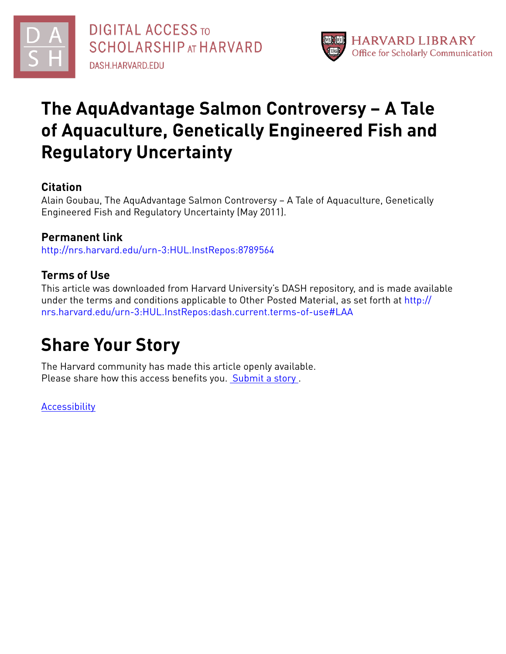



# **The AquAdvantage Salmon Controversy – A Tale of Aquaculture, Genetically Engineered Fish and Regulatory Uncertainty**

# **Citation**

Alain Goubau, The AquAdvantage Salmon Controversy – A Tale of Aquaculture, Genetically Engineered Fish and Regulatory Uncertainty (May 2011).

# **Permanent link**

<http://nrs.harvard.edu/urn-3:HUL.InstRepos:8789564>

# **Terms of Use**

This article was downloaded from Harvard University's DASH repository, and is made available under the terms and conditions applicable to Other Posted Material, as set forth at [http://](http://nrs.harvard.edu/urn-3:HUL.InstRepos:dash.current.terms-of-use#LAA) [nrs.harvard.edu/urn-3:HUL.InstRepos:dash.current.terms-of-use#LAA](http://nrs.harvard.edu/urn-3:HUL.InstRepos:dash.current.terms-of-use#LAA)

# **Share Your Story**

The Harvard community has made this article openly available. Please share how this access benefits you. [Submit](http://osc.hul.harvard.edu/dash/open-access-feedback?handle=&title=The%20AquAdvantage%20Salmon%20Controversy%20%E2%80%93%20A%20Tale%20of%20Aquaculture,%20Genetically%20Engineered%20Fish%20and%20Regulatory%20Uncertainty&community=1/7&collection=1/2788313&owningCollection1/2788313&harvardAuthors=&department) a story.

[Accessibility](https://dash.harvard.edu/pages/accessibility)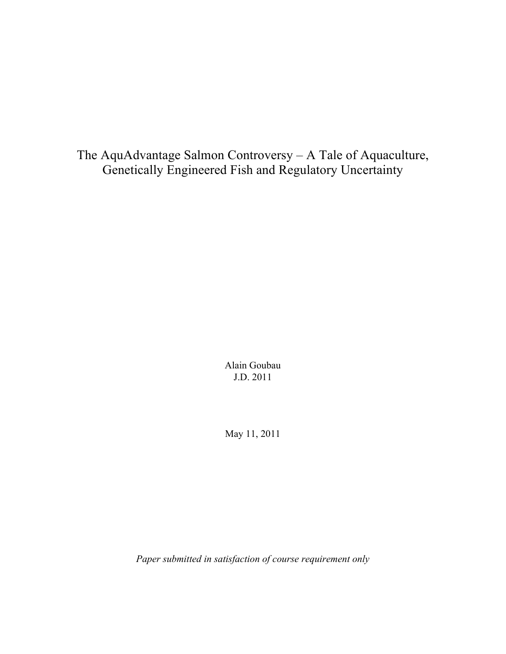The AquAdvantage Salmon Controversy – A Tale of Aquaculture, Genetically Engineered Fish and Regulatory Uncertainty

> Alain Goubau J.D. 2011

May 11, 2011

*Paper submitted in satisfaction of course requirement only*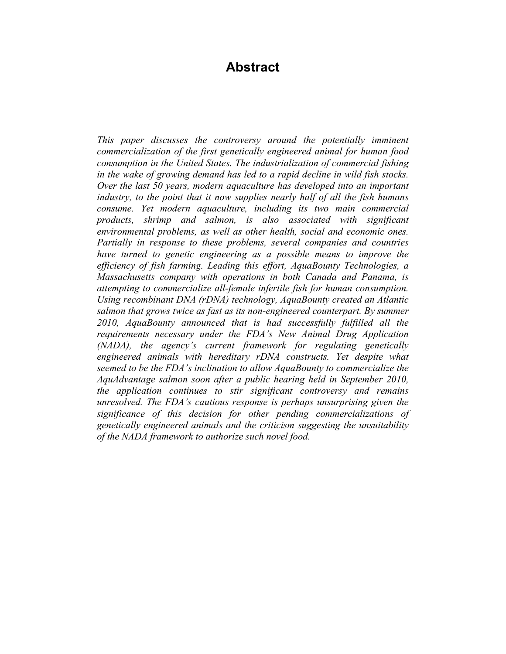# **Abstract**

*This paper discusses the controversy around the potentially imminent commercialization of the first genetically engineered animal for human food consumption in the United States. The industrialization of commercial fishing in the wake of growing demand has led to a rapid decline in wild fish stocks. Over the last 50 years, modern aquaculture has developed into an important industry, to the point that it now supplies nearly half of all the fish humans consume. Yet modern aquaculture, including its two main commercial products, shrimp and salmon, is also associated with significant environmental problems, as well as other health, social and economic ones. Partially in response to these problems, several companies and countries have turned to genetic engineering as a possible means to improve the efficiency of fish farming. Leading this effort, AquaBounty Technologies, a Massachusetts company with operations in both Canada and Panama, is attempting to commercialize all-female infertile fish for human consumption. Using recombinant DNA (rDNA) technology, AquaBounty created an Atlantic salmon that grows twice as fast as its non-engineered counterpart. By summer 2010, AquaBounty announced that is had successfully fulfilled all the requirements necessary under the FDA's New Animal Drug Application (NADA), the agency's current framework for regulating genetically engineered animals with hereditary rDNA constructs. Yet despite what seemed to be the FDA's inclination to allow AquaBounty to commercialize the AquAdvantage salmon soon after a public hearing held in September 2010, the application continues to stir significant controversy and remains unresolved. The FDA's cautious response is perhaps unsurprising given the significance of this decision for other pending commercializations of genetically engineered animals and the criticism suggesting the unsuitability of the NADA framework to authorize such novel food.*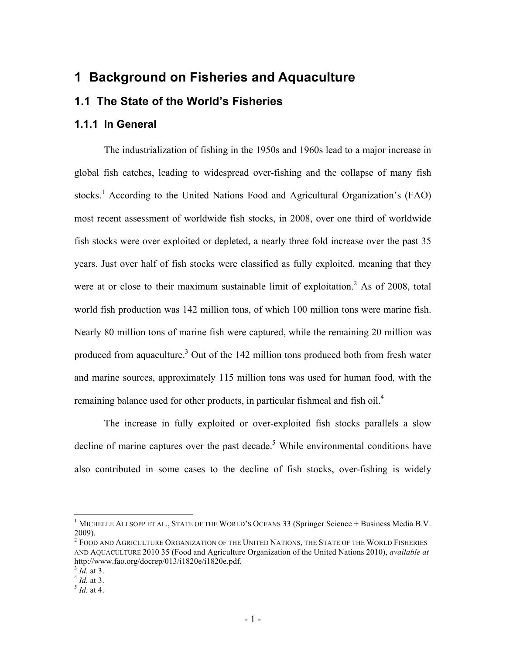# **1 Background on Fisheries and Aquaculture**

#### **1.1 The State of the World's Fisheries**

#### **1.1.1 In General**

The industrialization of fishing in the 1950s and 1960s lead to a major increase in global fish catches, leading to widespread over-fishing and the collapse of many fish stocks.<sup>1</sup> According to the United Nations Food and Agricultural Organization's (FAO) most recent assessment of worldwide fish stocks, in 2008, over one third of worldwide fish stocks were over exploited or depleted, a nearly three fold increase over the past 35 years. Just over half of fish stocks were classified as fully exploited, meaning that they were at or close to their maximum sustainable limit of exploitation.<sup>2</sup> As of 2008, total world fish production was 142 million tons, of which 100 million tons were marine fish. Nearly 80 million tons of marine fish were captured, while the remaining 20 million was produced from aquaculture.<sup>3</sup> Out of the 142 million tons produced both from fresh water and marine sources, approximately 115 million tons was used for human food, with the remaining balance used for other products, in particular fishmeal and fish oil.<sup>4</sup>

The increase in fully exploited or over-exploited fish stocks parallels a slow decline of marine captures over the past decade.<sup>5</sup> While environmental conditions have also contributed in some cases to the decline of fish stocks, over-fishing is widely

<sup>&</sup>lt;sup>1</sup> MICHELLE ALLSOPP ET AL., STATE OF THE WORLD'S OCEANS 33 (Springer Science + Business Media B.V. 2009).

<sup>&</sup>lt;sup>2</sup> FOOD AND AGRICULTURE ORGANIZATION OF THE UNITED NATIONS, THE STATE OF THE WORLD FISHERIES AND AQUACULTURE 2010 35 (Food and Agriculture Organization of the United Nations 2010), *available at* http://www.fao.org/docrep/013/i1820e/i1820e.pdf.<br>
<sup>3</sup> Id. at 3.

<sup>3</sup> *Id.* at 3. <sup>4</sup> *Id.* at 3. <sup>5</sup> *Id.* at 4.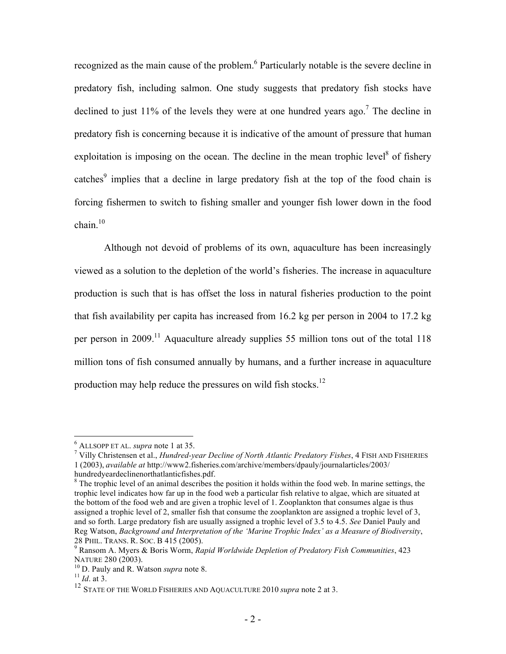recognized as the main cause of the problem.<sup>6</sup> Particularly notable is the severe decline in predatory fish, including salmon. One study suggests that predatory fish stocks have declined to just 11% of the levels they were at one hundred years ago.<sup>7</sup> The decline in predatory fish is concerning because it is indicative of the amount of pressure that human exploitation is imposing on the ocean. The decline in the mean trophic level<sup>8</sup> of fishery catches<sup>9</sup> implies that a decline in large predatory fish at the top of the food chain is forcing fishermen to switch to fishing smaller and younger fish lower down in the food chain. $10$ 

Although not devoid of problems of its own, aquaculture has been increasingly viewed as a solution to the depletion of the world's fisheries. The increase in aquaculture production is such that is has offset the loss in natural fisheries production to the point that fish availability per capita has increased from 16.2 kg per person in 2004 to 17.2 kg per person in 2009.<sup>11</sup> Aquaculture already supplies 55 million tons out of the total 118 million tons of fish consumed annually by humans, and a further increase in aquaculture production may help reduce the pressures on wild fish stocks.<sup>12</sup>

<sup>6</sup> ALLSOPP ET AL. *supra* note 1 at 35. <sup>7</sup>

Villy Christensen et al., *Hundred-year Decline of North Atlantic Predatory Fishes*, 4 FISH AND FISHERIES 1 (2003), *available at* http://www2.fisheries.com/archive/members/dpauly/journalarticles/2003/ hundredyeardeclinenorthatlanticfishes.pdf.

<sup>&</sup>lt;sup>8</sup> The trophic level of an animal describes the position it holds within the food web. In marine settings, the trophic level indicates how far up in the food web a particular fish relative to algae, which are situated at the bottom of the food web and are given a trophic level of 1. Zooplankton that consumes algae is thus assigned a trophic level of 2, smaller fish that consume the zooplankton are assigned a trophic level of 3, and so forth. Large predatory fish are usually assigned a trophic level of 3.5 to 4.5. *See* Daniel Pauly and Reg Watson, *Background and Interpretation of the 'Marine Trophic Index' as a Measure of Biodiversity*, 28 PHIL. TRANS. R. SOC. B 415 (2005). <sup>9</sup>

Ransom A. Myers & Boris Worm, *Rapid Worldwide Depletion of Predatory Fish Communities*, 423

 $^{10}$  D. Pauly and R. Watson *supra* note 8. <sup>11</sup> *Id.* at 3.

<sup>&</sup>lt;sup>12</sup> STATE OF THE WORLD FISHERIES AND AQUACULTURE 2010 *supra* note 2 at 3.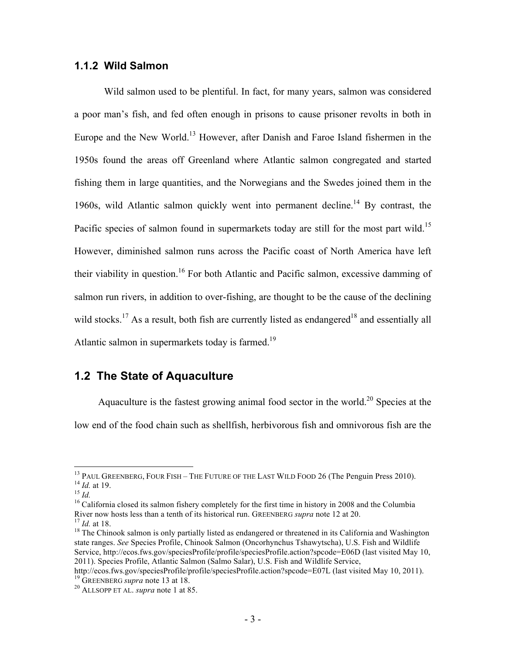#### **1.1.2 Wild Salmon**

Wild salmon used to be plentiful. In fact, for many years, salmon was considered a poor man's fish, and fed often enough in prisons to cause prisoner revolts in both in Europe and the New World.13 However, after Danish and Faroe Island fishermen in the 1950s found the areas off Greenland where Atlantic salmon congregated and started fishing them in large quantities, and the Norwegians and the Swedes joined them in the 1960s, wild Atlantic salmon quickly went into permanent decline.<sup>14</sup> By contrast, the Pacific species of salmon found in supermarkets today are still for the most part wild.<sup>15</sup> However, diminished salmon runs across the Pacific coast of North America have left their viability in question.<sup>16</sup> For both Atlantic and Pacific salmon, excessive damming of salmon run rivers, in addition to over-fishing, are thought to be the cause of the declining wild stocks.<sup>17</sup> As a result, both fish are currently listed as endangered<sup>18</sup> and essentially all Atlantic salmon in supermarkets today is farmed.<sup>19</sup>

## **1.2 The State of Aquaculture**

Aquaculture is the fastest growing animal food sector in the world.<sup>20</sup> Species at the low end of the food chain such as shellfish, herbivorous fish and omnivorous fish are the

<sup>&</sup>lt;sup>13</sup> PAUL GREENBERG, FOUR FISH – THE FUTURE OF THE LAST WILD FOOD 26 (The Penguin Press 2010).<br><sup>14</sup> *Id.* at 19.<br><sup>15</sup> *Id.*<br><sup>16</sup> California closed its salmon fishery completely for the first time in history in 2008 and th

<sup>&</sup>lt;sup>17</sup> *Id.* at 18. <sup>18</sup> The Chinook salmon is only partially listed as endangered or threatened in its California and Washington <sup>18</sup> state ranges. *See* Species Profile, Chinook Salmon (Oncorhynchus Tshawytscha), U.S. Fish and Wildlife Service, http://ecos.fws.gov/speciesProfile/profile/speciesProfile.action?spcode=E06D (last visited May 10, 2011). Species Profile, Atlantic Salmon (Salmo Salar), U.S. Fish and Wildlife Service,

http://ecos.fws.gov/speciesProfile/profile/speciesProfile.action?spcode=E07L (last visited May 10, 2011). <sup>19</sup> GREENBERG *supra* note 13 at 18. <sup>20</sup> ALLSOPP ET AL. *supra* note 1 at 85.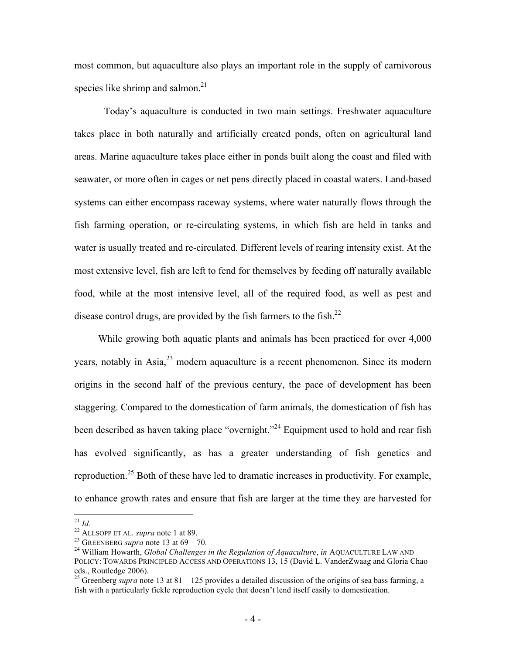most common, but aquaculture also plays an important role in the supply of carnivorous species like shrimp and salmon.<sup>21</sup>

Today's aquaculture is conducted in two main settings. Freshwater aquaculture takes place in both naturally and artificially created ponds, often on agricultural land areas. Marine aquaculture takes place either in ponds built along the coast and filed with seawater, or more often in cages or net pens directly placed in coastal waters. Land-based systems can either encompass raceway systems, where water naturally flows through the fish farming operation, or re-circulating systems, in which fish are held in tanks and water is usually treated and re-circulated. Different levels of rearing intensity exist. At the most extensive level, fish are left to fend for themselves by feeding off naturally available food, while at the most intensive level, all of the required food, as well as pest and disease control drugs, are provided by the fish farmers to the fish.<sup>22</sup>

While growing both aquatic plants and animals has been practiced for over 4,000 years, notably in Asia,<sup>23</sup> modern aquaculture is a recent phenomenon. Since its modern origins in the second half of the previous century, the pace of development has been staggering. Compared to the domestication of farm animals, the domestication of fish has been described as haven taking place "overnight."<sup>24</sup> Equipment used to hold and rear fish has evolved significantly, as has a greater understanding of fish genetics and reproduction.<sup>25</sup> Both of these have led to dramatic increases in productivity. For example, to enhance growth rates and ensure that fish are larger at the time they are harvested for

<sup>&</sup>lt;sup>21</sup> *Id.*<br><sup>22</sup> ALLSOPP ET AL. *supra* note 1 at 89.<br><sup>23</sup> GREENBERG *supra* note 13 at 69 – 70.<br><sup>24</sup> William Howarth, *Global Challenges in the Regulation of Aquaculture*, *in* AQUACULTURE LAW AND POLICY: TOWARDS PRINCIPLED ACCESS AND OPERATIONS 13, 15 (David L. VanderZwaag and Gloria Chao eds., Routledge 2006). 25 Greenberg *supra* note 13 at 81 – 125 provides a detailed discussion of the origins of sea bass farming, a

fish with a particularly fickle reproduction cycle that doesn't lend itself easily to domestication.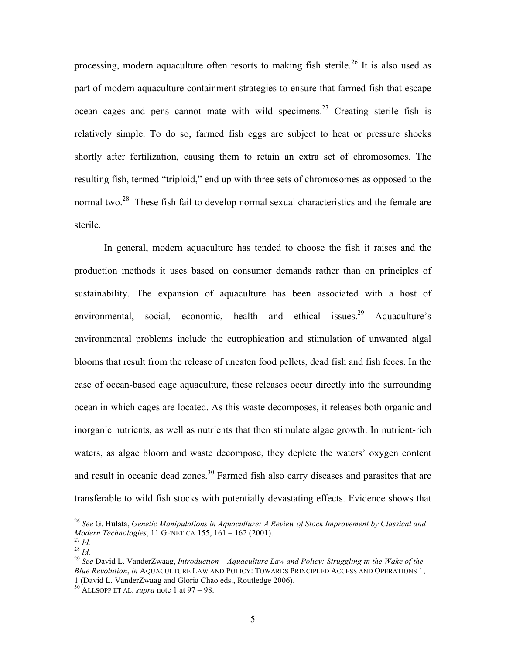processing, modern aquaculture often resorts to making fish sterile.<sup>26</sup> It is also used as part of modern aquaculture containment strategies to ensure that farmed fish that escape ocean cages and pens cannot mate with wild specimens.<sup>27</sup> Creating sterile fish is relatively simple. To do so, farmed fish eggs are subject to heat or pressure shocks shortly after fertilization, causing them to retain an extra set of chromosomes. The resulting fish, termed "triploid," end up with three sets of chromosomes as opposed to the normal two.<sup>28</sup> These fish fail to develop normal sexual characteristics and the female are sterile.

In general, modern aquaculture has tended to choose the fish it raises and the production methods it uses based on consumer demands rather than on principles of sustainability. The expansion of aquaculture has been associated with a host of environmental, social, economic, health and ethical issues.<sup>29</sup> Aquaculture's environmental problems include the eutrophication and stimulation of unwanted algal blooms that result from the release of uneaten food pellets, dead fish and fish feces. In the case of ocean-based cage aquaculture, these releases occur directly into the surrounding ocean in which cages are located. As this waste decomposes, it releases both organic and inorganic nutrients, as well as nutrients that then stimulate algae growth. In nutrient-rich waters, as algae bloom and waste decompose, they deplete the waters' oxygen content and result in oceanic dead zones.<sup>30</sup> Farmed fish also carry diseases and parasites that are transferable to wild fish stocks with potentially devastating effects. Evidence shows that

<sup>&</sup>lt;sup>26</sup> *See* G. Hulata, *Genetic Manipulations in Aquaculture: A Review of Stock Improvement by Classical and Modern Technologies, 11 GENETICA 155, 161 – 162 (2001).* 

*Modern Technologies*, 11 GENETICA 155, 161 – 162 (2001).<br><sup>28</sup> *Id.* 28 *Id.* 28 *Id.* 29 *See* David L. VanderZwaag, *Introduction – Aquaculture Law and Policy: Struggling in the Wake of the Blue Revolution*, *in* AQUACULTURE LAW AND POLICY: TOWARDS PRINCIPLED ACCESS AND OPERATIONS 1, 1 (David L. VanderZwaag and Gloria Chao eds., Routledge 2006).

<sup>30</sup> ALLSOPP ET AL. *supra* note 1 at 97 – 98.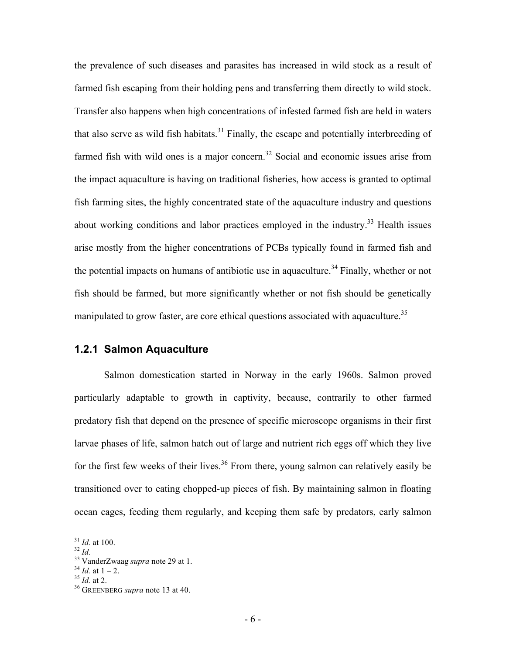the prevalence of such diseases and parasites has increased in wild stock as a result of farmed fish escaping from their holding pens and transferring them directly to wild stock. Transfer also happens when high concentrations of infested farmed fish are held in waters that also serve as wild fish habitats.<sup>31</sup> Finally, the escape and potentially interbreeding of farmed fish with wild ones is a major concern.<sup>32</sup> Social and economic issues arise from the impact aquaculture is having on traditional fisheries, how access is granted to optimal fish farming sites, the highly concentrated state of the aquaculture industry and questions about working conditions and labor practices employed in the industry.<sup>33</sup> Health issues arise mostly from the higher concentrations of PCBs typically found in farmed fish and the potential impacts on humans of antibiotic use in aquaculture.<sup>34</sup> Finally, whether or not fish should be farmed, but more significantly whether or not fish should be genetically manipulated to grow faster, are core ethical questions associated with aquaculture.<sup>35</sup>

#### **1.2.1 Salmon Aquaculture**

Salmon domestication started in Norway in the early 1960s. Salmon proved particularly adaptable to growth in captivity, because, contrarily to other farmed predatory fish that depend on the presence of specific microscope organisms in their first larvae phases of life, salmon hatch out of large and nutrient rich eggs off which they live for the first few weeks of their lives.<sup>36</sup> From there, young salmon can relatively easily be transitioned over to eating chopped-up pieces of fish. By maintaining salmon in floating ocean cages, feeding them regularly, and keeping them safe by predators, early salmon

<sup>&</sup>lt;sup>31</sup> *Id.* at 100.<br><sup>32</sup> *Id.*<br><sup>33</sup> VanderZwaag *supra* note 29 at 1.<br><sup>34</sup> *Id.* at 1 – 2.<br><sup>35</sup> *Id.* at 2.<br><sup>36</sup> GREENBERG *supra* note 13 at 40.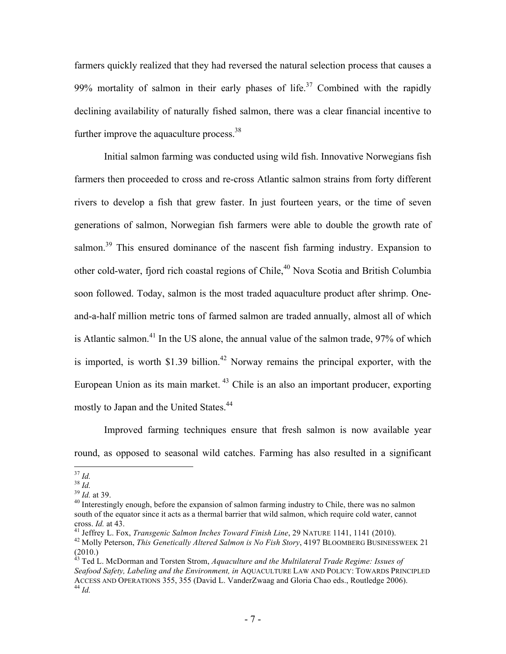farmers quickly realized that they had reversed the natural selection process that causes a 99% mortality of salmon in their early phases of life.<sup>37</sup> Combined with the rapidly declining availability of naturally fished salmon, there was a clear financial incentive to further improve the aquaculture process.<sup>38</sup>

Initial salmon farming was conducted using wild fish. Innovative Norwegians fish farmers then proceeded to cross and re-cross Atlantic salmon strains from forty different rivers to develop a fish that grew faster. In just fourteen years, or the time of seven generations of salmon, Norwegian fish farmers were able to double the growth rate of salmon.<sup>39</sup> This ensured dominance of the nascent fish farming industry. Expansion to other cold-water, fjord rich coastal regions of Chile,<sup>40</sup> Nova Scotia and British Columbia soon followed. Today, salmon is the most traded aquaculture product after shrimp. Oneand-a-half million metric tons of farmed salmon are traded annually, almost all of which is Atlantic salmon.<sup>41</sup> In the US alone, the annual value of the salmon trade, 97% of which is imported, is worth  $$1.39$  billion.<sup>42</sup> Norway remains the principal exporter, with the European Union as its main market. 43 Chile is an also an important producer, exporting mostly to Japan and the United States.<sup>44</sup>

Improved farming techniques ensure that fresh salmon is now available year round, as opposed to seasonal wild catches. Farming has also resulted in a significant

<sup>&</sup>lt;sup>37</sup> *Id.* <sup>38</sup> *Id.* <sup>38</sup> *Id.* at 39.<br><sup>39</sup> *Id.* at 39.<br><sup>40</sup> Interestingly enough, before the expansion of salmon farming industry to Chile, there was no salmon south of the equator since it acts as a thermal barrier that wild salmon, which require cold water, cannot cross. *Id.* at 43.

<sup>&</sup>lt;sup>41</sup> Jeffrey L. Fox, *Transgenic Salmon Inches Toward Finish Line*, 29 NATURE 1141, 1141 (2010).<br><sup>42</sup> Molly Peterson, *This Genetically Altered Salmon is No Fish Story*, 4197 BLOOMBERG BUSINESSWEEK 21 (2010.)

<sup>43</sup> Ted L. McDorman and Torsten Strom, *Aquaculture and the Multilateral Trade Regime: Issues of Seafood Safety, Labeling and the Environment, in* AQUACULTURE LAW AND POLICY: TOWARDS PRINCIPLED ACCESS AND OPERATIONS 355, 355 (David L. VanderZwaag and Gloria Chao eds., Routledge 2006). <sup>44</sup> *Id.*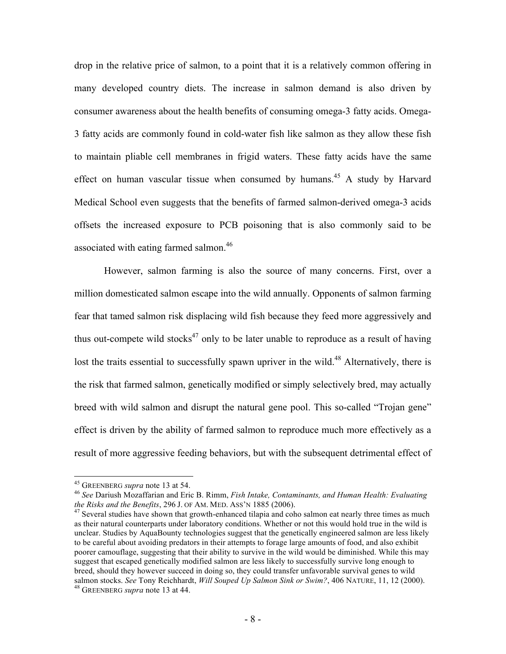drop in the relative price of salmon, to a point that it is a relatively common offering in many developed country diets. The increase in salmon demand is also driven by consumer awareness about the health benefits of consuming omega-3 fatty acids. Omega-3 fatty acids are commonly found in cold-water fish like salmon as they allow these fish to maintain pliable cell membranes in frigid waters. These fatty acids have the same effect on human vascular tissue when consumed by humans.<sup>45</sup> A study by Harvard Medical School even suggests that the benefits of farmed salmon-derived omega-3 acids offsets the increased exposure to PCB poisoning that is also commonly said to be associated with eating farmed salmon.<sup>46</sup>

However, salmon farming is also the source of many concerns. First, over a million domesticated salmon escape into the wild annually. Opponents of salmon farming fear that tamed salmon risk displacing wild fish because they feed more aggressively and thus out-compete wild stocks<sup>47</sup> only to be later unable to reproduce as a result of having lost the traits essential to successfully spawn upriver in the wild.<sup>48</sup> Alternatively, there is the risk that farmed salmon, genetically modified or simply selectively bred, may actually breed with wild salmon and disrupt the natural gene pool. This so-called "Trojan gene" effect is driven by the ability of farmed salmon to reproduce much more effectively as a result of more aggressive feeding behaviors, but with the subsequent detrimental effect of

<sup>&</sup>lt;sup>45</sup> GREENBERG *supra* note 13 at 54.<br><sup>46</sup> *See Dariush Mozaffarian and Eric B. Rimm, <i>Fish Intake, Contaminants, and Human Health: Evaluating the Risks and the Benefits, 296 J. OF AM. MED. ASS'N 1885 (2006).* 

<sup>&</sup>lt;sup>47</sup> Several studies have shown that growth-enhanced tilapia and coho salmon eat nearly three times as much as their natural counterparts under laboratory conditions. Whether or not this would hold true in the wild is unclear. Studies by AquaBounty technologies suggest that the genetically engineered salmon are less likely to be careful about avoiding predators in their attempts to forage large amounts of food, and also exhibit poorer camouflage, suggesting that their ability to survive in the wild would be diminished. While this may suggest that escaped genetically modified salmon are less likely to successfully survive long enough to breed, should they however succeed in doing so, they could transfer unfavorable survival genes to wild salmon stocks. *See* Tony Reichhardt, *Will Souped Up Salmon Sink or Swim?*, 406 NATURE, 11, 12 (2000). <sup>48</sup> GREENBERG *supra* note 13 at 44.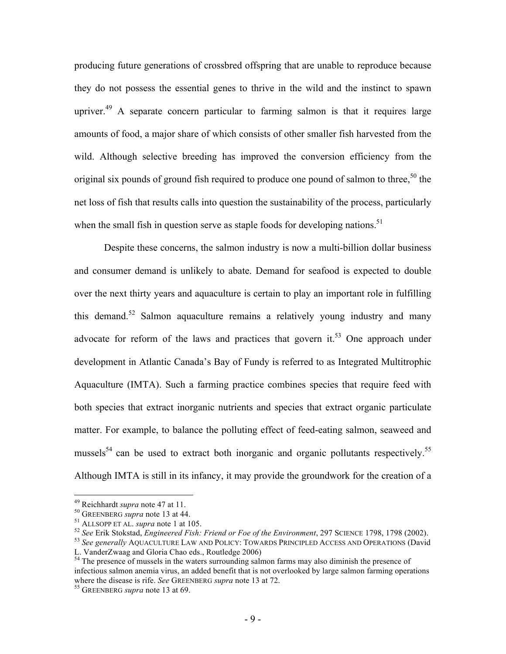producing future generations of crossbred offspring that are unable to reproduce because they do not possess the essential genes to thrive in the wild and the instinct to spawn upriver.<sup>49</sup> A separate concern particular to farming salmon is that it requires large amounts of food, a major share of which consists of other smaller fish harvested from the wild. Although selective breeding has improved the conversion efficiency from the original six pounds of ground fish required to produce one pound of salmon to three,<sup>50</sup> the net loss of fish that results calls into question the sustainability of the process, particularly when the small fish in question serve as staple foods for developing nations.<sup>51</sup>

Despite these concerns, the salmon industry is now a multi-billion dollar business and consumer demand is unlikely to abate. Demand for seafood is expected to double over the next thirty years and aquaculture is certain to play an important role in fulfilling this demand.<sup>52</sup> Salmon aquaculture remains a relatively young industry and many advocate for reform of the laws and practices that govern it.<sup>53</sup> One approach under development in Atlantic Canada's Bay of Fundy is referred to as Integrated Multitrophic Aquaculture (IMTA). Such a farming practice combines species that require feed with both species that extract inorganic nutrients and species that extract organic particulate matter. For example, to balance the polluting effect of feed-eating salmon, seaweed and mussels<sup>54</sup> can be used to extract both inorganic and organic pollutants respectively.<sup>55</sup> Although IMTA is still in its infancy, it may provide the groundwork for the creation of a

<sup>&</sup>lt;sup>49</sup> Reichhardt *supra* note 47 at 11.<br><sup>50</sup> GREENBERG *supra* note 13 at 44.<br><sup>51</sup> ALLSOPP ET AL. *supra* note 1 at 105.<br><sup>52</sup> See Erik Stokstad, *Engineered Fish: Friend or Foe of the Environment*, 297 SCIENCE 1798, 1798 ( L. VanderZwaag and Gloria Chao eds., Routledge 2006)

<sup>&</sup>lt;sup>54</sup> The presence of mussels in the waters surrounding salmon farms may also diminish the presence of infectious salmon anemia virus, an added benefit that is not overlooked by large salmon farming operations where the disease is rife. *See* GREENBERG *supra* note 13 at 72. <sup>55</sup> GREENBERG *supra* note 13 at 69.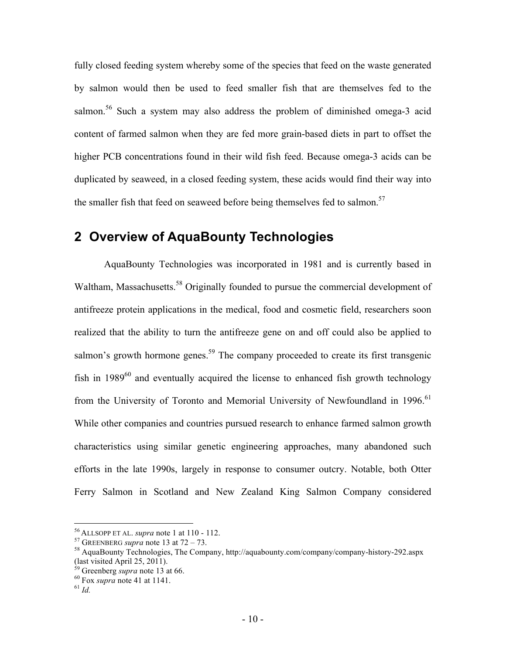fully closed feeding system whereby some of the species that feed on the waste generated by salmon would then be used to feed smaller fish that are themselves fed to the salmon.<sup>56</sup> Such a system may also address the problem of diminished omega-3 acid content of farmed salmon when they are fed more grain-based diets in part to offset the higher PCB concentrations found in their wild fish feed. Because omega-3 acids can be duplicated by seaweed, in a closed feeding system, these acids would find their way into the smaller fish that feed on seaweed before being themselves fed to salmon.<sup>57</sup>

# **2 Overview of AquaBounty Technologies**

AquaBounty Technologies was incorporated in 1981 and is currently based in Waltham, Massachusetts.<sup>58</sup> Originally founded to pursue the commercial development of antifreeze protein applications in the medical, food and cosmetic field, researchers soon realized that the ability to turn the antifreeze gene on and off could also be applied to salmon's growth hormone genes.<sup>59</sup> The company proceeded to create its first transgenic fish in  $1989^{60}$  and eventually acquired the license to enhanced fish growth technology from the University of Toronto and Memorial University of Newfoundland in 1996.<sup>61</sup> While other companies and countries pursued research to enhance farmed salmon growth characteristics using similar genetic engineering approaches, many abandoned such efforts in the late 1990s, largely in response to consumer outcry. Notable, both Otter Ferry Salmon in Scotland and New Zealand King Salmon Company considered

<sup>&</sup>lt;sup>56</sup> ALLSOPP ET AL. *supra* note 1 at 110 - 112.<br><sup>57</sup> GREENBERG *supra* note 13 at 72 – 73.<br><sup>58</sup> AquaBounty Technologies, The Company, http://aquabounty.com/company/company-history-292.aspx (last visited April 25, 2011).

<sup>59</sup> Greenberg *supra* note 13 at 66. 60 Fox *supra* note 41 at 1141. <sup>61</sup> *Id.*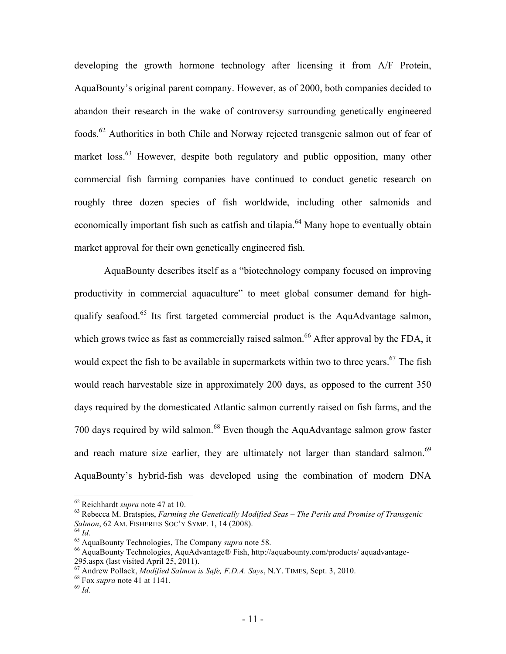developing the growth hormone technology after licensing it from A/F Protein, AquaBounty's original parent company. However, as of 2000, both companies decided to abandon their research in the wake of controversy surrounding genetically engineered foods.62 Authorities in both Chile and Norway rejected transgenic salmon out of fear of market loss.<sup>63</sup> However, despite both regulatory and public opposition, many other commercial fish farming companies have continued to conduct genetic research on roughly three dozen species of fish worldwide, including other salmonids and economically important fish such as catfish and tilapia.<sup>64</sup> Many hope to eventually obtain market approval for their own genetically engineered fish.

AquaBounty describes itself as a "biotechnology company focused on improving productivity in commercial aquaculture" to meet global consumer demand for highqualify seafood.<sup>65</sup> Its first targeted commercial product is the AquAdvantage salmon, which grows twice as fast as commercially raised salmon.<sup>66</sup> After approval by the FDA, it would expect the fish to be available in supermarkets within two to three years. $67$  The fish would reach harvestable size in approximately 200 days, as opposed to the current 350 days required by the domesticated Atlantic salmon currently raised on fish farms, and the 700 days required by wild salmon.<sup>68</sup> Even though the AquAdvantage salmon grow faster and reach mature size earlier, they are ultimately not larger than standard salmon.<sup>69</sup> AquaBounty's hybrid-fish was developed using the combination of modern DNA

<sup>&</sup>lt;sup>62</sup> Reichhardt *supra* note 47 at 10.<br><sup>63</sup> Rebecca M. Bratspies, *Farming the Genetically Modified Seas – The Perils and Promise of Transgenic Salmon, 62 AM. FISHERIES SOC'Y SYMP. 1, 14 (2008).* 

<sup>&</sup>lt;sup>64</sup> *Id.*<br><sup>65</sup> AquaBounty Technologies, The Company *supra* note 58.<br><sup>65</sup> AquaBounty Technologies, AquAdvantage® Fish, http://aquabounty.com/products/ aquadvantage-295.aspx (last visited April 25, 2011).

<sup>67</sup> Andrew Pollack, *Modified Salmon is Safe, F.D.A. Says*, N.Y. TIMES, Sept. 3, 2010. 68 Fox *supra* note 41 at 1141. <sup>69</sup> *Id.*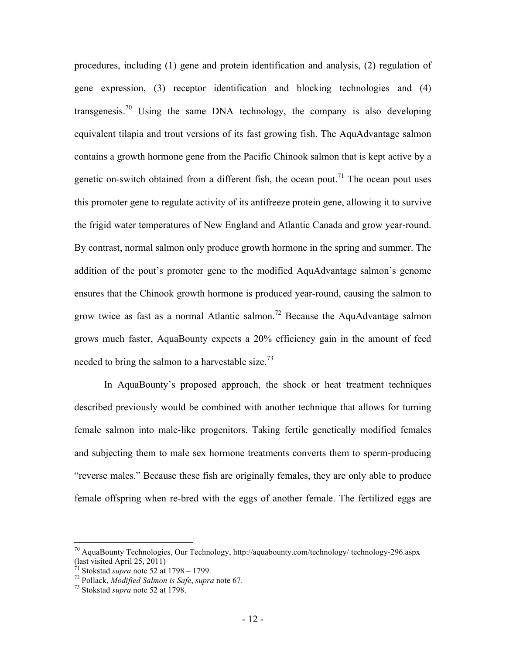procedures, including (1) gene and protein identification and analysis, (2) regulation of gene expression, (3) receptor identification and blocking technologies and (4) transgenesis.<sup>70</sup> Using the same DNA technology, the company is also developing equivalent tilapia and trout versions of its fast growing fish. The AquAdvantage salmon contains a growth hormone gene from the Pacific Chinook salmon that is kept active by a genetic on-switch obtained from a different fish, the ocean pout.<sup>71</sup> The ocean pout uses this promoter gene to regulate activity of its antifreeze protein gene, allowing it to survive the frigid water temperatures of New England and Atlantic Canada and grow year-round. By contrast, normal salmon only produce growth hormone in the spring and summer. The addition of the pout's promoter gene to the modified AquAdvantage salmon's genome ensures that the Chinook growth hormone is produced year-round, causing the salmon to grow twice as fast as a normal Atlantic salmon.<sup>72</sup> Because the AquAdvantage salmon grows much faster, AquaBounty expects a 20% efficiency gain in the amount of feed needed to bring the salmon to a harvestable size.<sup>73</sup>

In AquaBounty's proposed approach, the shock or heat treatment techniques described previously would be combined with another technique that allows for turning female salmon into male-like progenitors. Taking fertile genetically modified females and subjecting them to male sex hormone treatments converts them to sperm-producing "reverse males." Because these fish are originally females, they are only able to produce female offspring when re-bred with the eggs of another female. The fertilized eggs are

 <sup>70</sup> AquaBounty Technologies, Our Technology, http://aquabounty.com/technology/ technology-296.aspx (last visited April 25, 2011)<br> $\frac{71}{71}$  Stokstad *supra* note 52 at 1798 – 1799.

<sup>71</sup> Stokstad *supra* note 52 at 1798 – 1799. 72 Pollack, *Modified Salmon is Safe*, *supra* note 67. 73 Stokstad *supra* note 52 at 1798.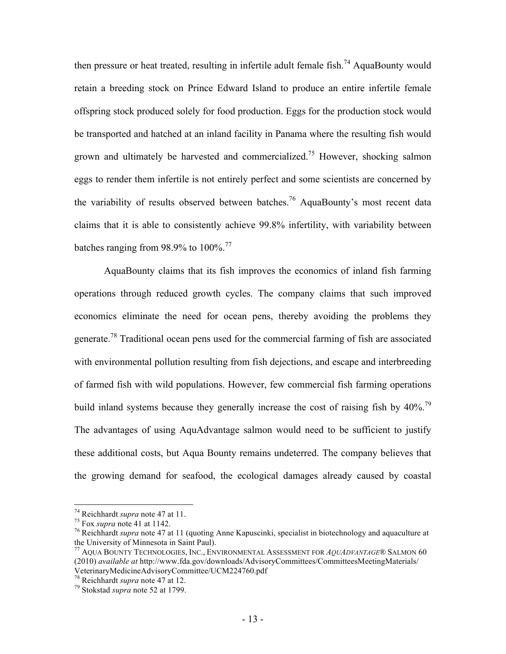then pressure or heat treated, resulting in infertile adult female fish.<sup>74</sup> AquaBounty would retain a breeding stock on Prince Edward Island to produce an entire infertile female offspring stock produced solely for food production. Eggs for the production stock would be transported and hatched at an inland facility in Panama where the resulting fish would grown and ultimately be harvested and commercialized.<sup>75</sup> However, shocking salmon eggs to render them infertile is not entirely perfect and some scientists are concerned by the variability of results observed between batches.<sup>76</sup> AquaBounty's most recent data claims that it is able to consistently achieve 99.8% infertility, with variability between batches ranging from 98.9% to  $100\%$ .<sup>77</sup>

AquaBounty claims that its fish improves the economics of inland fish farming operations through reduced growth cycles. The company claims that such improved economics eliminate the need for ocean pens, thereby avoiding the problems they generate.78 Traditional ocean pens used for the commercial farming of fish are associated with environmental pollution resulting from fish dejections, and escape and interbreeding of farmed fish with wild populations. However, few commercial fish farming operations build inland systems because they generally increase the cost of raising fish by 40%.<sup>79</sup> The advantages of using AquAdvantage salmon would need to be sufficient to justify these additional costs, but Aqua Bounty remains undeterred. The company believes that the growing demand for seafood, the ecological damages already caused by coastal

<sup>&</sup>lt;sup>74</sup> Reichhardt *supra* note 47 at 11.<br><sup>75</sup> Fox *supra* note 41 at 1142.<br><sup>76</sup> Reichhardt *supra* note 47 at 11 (quoting Anne Kapuscinki, specialist in biotechnology and aquaculture at the University of Minnesota in Saint Paul).

<sup>77</sup> AQUA BOUNTY TECHNOLOGIES, INC., ENVIRONMENTAL ASSESSMENT FOR *AQUADVANTAGE*® SALMON 60 (2010) *available at* http://www.fda.gov/downloads/AdvisoryCommittees/CommitteesMeetingMaterials/ VeterinaryMedicineAdvisoryCommittee/UCM224760.pdf

<sup>78</sup> Reichhardt *supra* note 47 at 12. 79 Stokstad *supra* note 52 at 1799.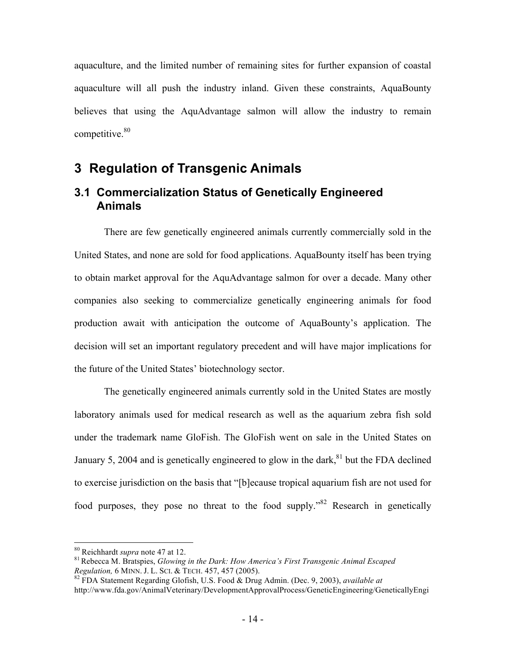aquaculture, and the limited number of remaining sites for further expansion of coastal aquaculture will all push the industry inland. Given these constraints, AquaBounty believes that using the AquAdvantage salmon will allow the industry to remain competitive.<sup>80</sup>

### **3 Regulation of Transgenic Animals**

### **3.1 Commercialization Status of Genetically Engineered Animals**

There are few genetically engineered animals currently commercially sold in the United States, and none are sold for food applications. AquaBounty itself has been trying to obtain market approval for the AquAdvantage salmon for over a decade. Many other companies also seeking to commercialize genetically engineering animals for food production await with anticipation the outcome of AquaBounty's application. The decision will set an important regulatory precedent and will have major implications for the future of the United States' biotechnology sector.

The genetically engineered animals currently sold in the United States are mostly laboratory animals used for medical research as well as the aquarium zebra fish sold under the trademark name GloFish. The GloFish went on sale in the United States on January 5, 2004 and is genetically engineered to glow in the dark,  $81$  but the FDA declined to exercise jurisdiction on the basis that "[b]ecause tropical aquarium fish are not used for food purposes, they pose no threat to the food supply."<sup>82</sup> Research in genetically

<sup>&</sup>lt;sup>80</sup> Reichhardt *supra* note 47 at 12.<br><sup>81</sup> Rebecca M. Bratspies, *Glowing in the Dark: How America's First Transgenic Animal Escaped Regulation, 6 MINN. J. L. SCI. & TECH. 457, 457 (2005).* 

*Regulation,* 6 MINN. J. L. SCI. & TECH. 457, 457 (2005). 82 FDA Statement Regarding Glofish, U.S. Food & Drug Admin. (Dec. 9, 2003), *available at* http://www.fda.gov/AnimalVeterinary/DevelopmentApprovalProcess/GeneticEngineering/GeneticallyEngi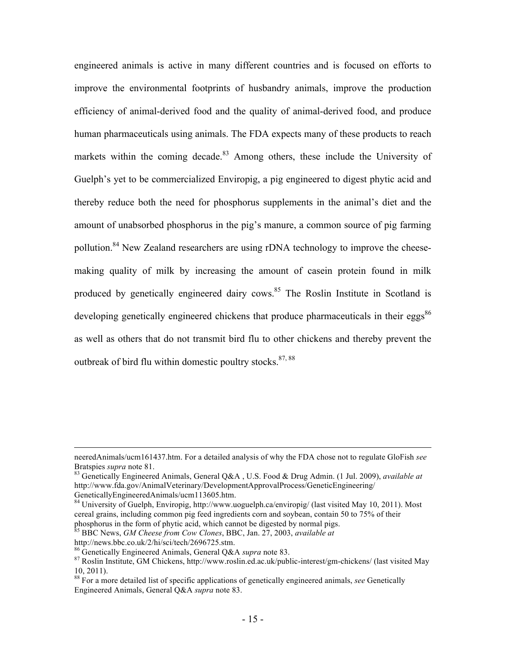engineered animals is active in many different countries and is focused on efforts to improve the environmental footprints of husbandry animals, improve the production efficiency of animal-derived food and the quality of animal-derived food, and produce human pharmaceuticals using animals. The FDA expects many of these products to reach markets within the coming decade.<sup>83</sup> Among others, these include the University of Guelph's yet to be commercialized Enviropig, a pig engineered to digest phytic acid and thereby reduce both the need for phosphorus supplements in the animal's diet and the amount of unabsorbed phosphorus in the pig's manure, a common source of pig farming pollution.<sup>84</sup> New Zealand researchers are using rDNA technology to improve the cheesemaking quality of milk by increasing the amount of casein protein found in milk produced by genetically engineered dairy cows.<sup>85</sup> The Roslin Institute in Scotland is developing genetically engineered chickens that produce pharmaceuticals in their eggs<sup>86</sup> as well as others that do not transmit bird flu to other chickens and thereby prevent the outbreak of bird flu within domestic poultry stocks.  $87,88$ 

GeneticallyEngineeredAnimals/ucm113605.htm.

84 University of Guelph, Enviropig, http://www.uoguelph.ca/enviropig/ (last visited May 10, 2011). Most cereal grains, including common pig feed ingredients corn and soybean, contain 50 to 75% of their phosphorus in the form of phytic acid, which cannot be digested by normal pigs.

85 BBC News, *GM Cheese from Cow Clones*, BBC, Jan. 27, 2003, *available at* 

neeredAnimals/ucm161437.htm. For a detailed analysis of why the FDA chose not to regulate GloFish *see* Bratspies *supra* note 81.<br><sup>83</sup> Genetically Engineered Animals, General Q&A, U.S. Food & Drug Admin. (1 Jul. 2009), *available at* 

http://www.fda.gov/AnimalVeterinary/DevelopmentApprovalProcess/GeneticEngineering/

http://news.bbc.co.uk/2/hi/sci/tech/2696725.stm.<br><sup>86</sup> Genetically Engineered Animals, General Q&A *supra* note 83.

<sup>&</sup>lt;sup>87</sup> Roslin Institute, GM Chickens, http://www.roslin.ed.ac.uk/public-interest/gm-chickens/ (last visited May 10, 2011).

<sup>88</sup> For a more detailed list of specific applications of genetically engineered animals, *see* Genetically Engineered Animals, General Q&A *supra* note 83.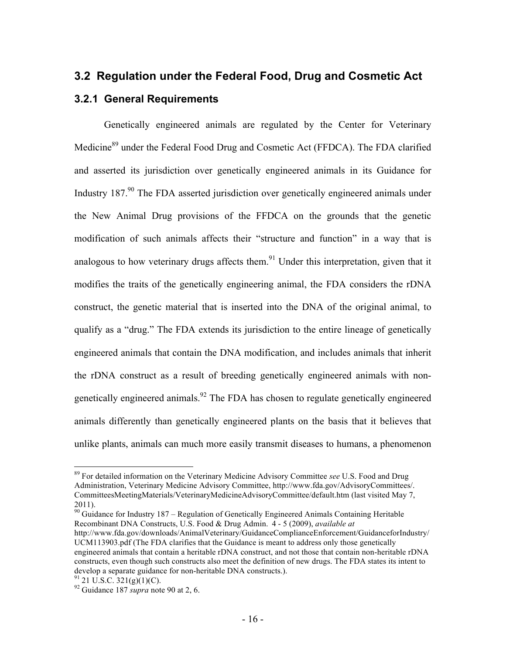# **3.2 Regulation under the Federal Food, Drug and Cosmetic Act 3.2.1 General Requirements**

Genetically engineered animals are regulated by the Center for Veterinary Medicine<sup>89</sup> under the Federal Food Drug and Cosmetic Act (FFDCA). The FDA clarified and asserted its jurisdiction over genetically engineered animals in its Guidance for Industry 187.<sup>90</sup> The FDA asserted jurisdiction over genetically engineered animals under the New Animal Drug provisions of the FFDCA on the grounds that the genetic modification of such animals affects their "structure and function" in a way that is analogous to how veterinary drugs affects them.<sup>91</sup> Under this interpretation, given that it modifies the traits of the genetically engineering animal, the FDA considers the rDNA construct, the genetic material that is inserted into the DNA of the original animal, to qualify as a "drug." The FDA extends its jurisdiction to the entire lineage of genetically engineered animals that contain the DNA modification, and includes animals that inherit the rDNA construct as a result of breeding genetically engineered animals with nongenetically engineered animals.<sup>92</sup> The FDA has chosen to regulate genetically engineered animals differently than genetically engineered plants on the basis that it believes that unlike plants, animals can much more easily transmit diseases to humans, a phenomenon

 $\frac{90}{90}$  Guidance for Industry 187 – Regulation of Genetically Engineered Animals Containing Heritable Recombinant DNA Constructs, U.S. Food & Drug Admin. 4 - 5 (2009), *available at*

 <sup>89</sup> For detailed information on the Veterinary Medicine Advisory Committee *see* U.S. Food and Drug Administration, Veterinary Medicine Advisory Committee, http://www.fda.gov/AdvisoryCommittees/. CommitteesMeetingMaterials/VeterinaryMedicineAdvisoryCommittee/default.htm (last visited May 7, 2011).

http://www.fda.gov/downloads/AnimalVeterinary/GuidanceComplianceEnforcement/GuidanceforIndustry/ UCM113903.pdf (The FDA clarifies that the Guidance is meant to address only those genetically engineered animals that contain a heritable rDNA construct, and not those that contain non-heritable rDNA constructs, even though such constructs also meet the definition of new drugs. The FDA states its intent to develop a separate guidance for non-heritable DNA constructs.).<br><sup>91</sup> 21 U.S.C. 321(g)(1)(C).<br><sup>92</sup> Guidance 187 *supra* note 90 at 2, 6.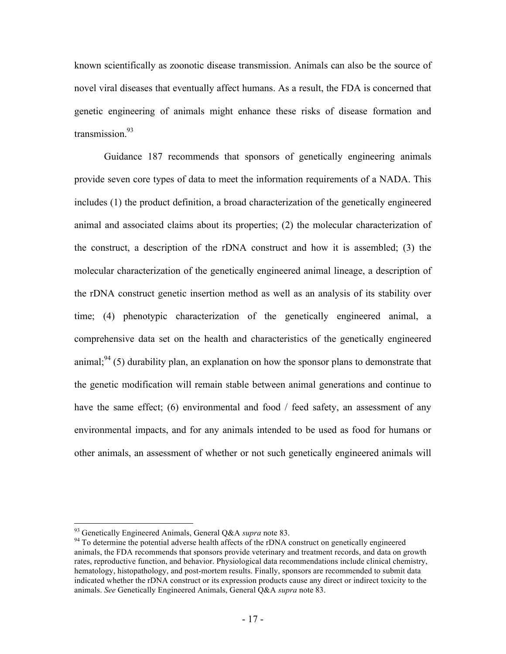known scientifically as zoonotic disease transmission. Animals can also be the source of novel viral diseases that eventually affect humans. As a result, the FDA is concerned that genetic engineering of animals might enhance these risks of disease formation and transmission $^{93}$ 

Guidance 187 recommends that sponsors of genetically engineering animals provide seven core types of data to meet the information requirements of a NADA. This includes (1) the product definition, a broad characterization of the genetically engineered animal and associated claims about its properties; (2) the molecular characterization of the construct, a description of the rDNA construct and how it is assembled; (3) the molecular characterization of the genetically engineered animal lineage, a description of the rDNA construct genetic insertion method as well as an analysis of its stability over time; (4) phenotypic characterization of the genetically engineered animal, a comprehensive data set on the health and characteristics of the genetically engineered animal;  $94$  (5) durability plan, an explanation on how the sponsor plans to demonstrate that the genetic modification will remain stable between animal generations and continue to have the same effect; (6) environmental and food / feed safety, an assessment of any environmental impacts, and for any animals intended to be used as food for humans or other animals, an assessment of whether or not such genetically engineered animals will

<sup>&</sup>lt;sup>93</sup> Genetically Engineered Animals, General Q&A *supra* note 83.<br><sup>94</sup> To determine the potential adverse health affects of the rDNA construct on genetically engineered animals, the FDA recommends that sponsors provide veterinary and treatment records, and data on growth rates, reproductive function, and behavior. Physiological data recommendations include clinical chemistry, hematology, histopathology, and post-mortem results. Finally, sponsors are recommended to submit data indicated whether the rDNA construct or its expression products cause any direct or indirect toxicity to the animals. *See* Genetically Engineered Animals, General Q&A *supra* note 83.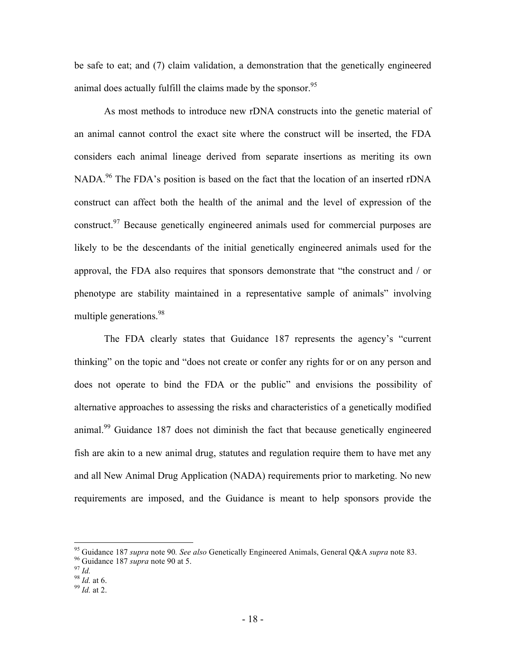be safe to eat; and (7) claim validation, a demonstration that the genetically engineered animal does actually fulfill the claims made by the sponsor.<sup>95</sup>

As most methods to introduce new rDNA constructs into the genetic material of an animal cannot control the exact site where the construct will be inserted, the FDA considers each animal lineage derived from separate insertions as meriting its own NADA.<sup>96</sup> The FDA's position is based on the fact that the location of an inserted rDNA construct can affect both the health of the animal and the level of expression of the construct.<sup>97</sup> Because genetically engineered animals used for commercial purposes are likely to be the descendants of the initial genetically engineered animals used for the approval, the FDA also requires that sponsors demonstrate that "the construct and / or phenotype are stability maintained in a representative sample of animals" involving multiple generations.<sup>98</sup>

The FDA clearly states that Guidance 187 represents the agency's "current thinking" on the topic and "does not create or confer any rights for or on any person and does not operate to bind the FDA or the public" and envisions the possibility of alternative approaches to assessing the risks and characteristics of a genetically modified animal.99 Guidance 187 does not diminish the fact that because genetically engineered fish are akin to a new animal drug, statutes and regulation require them to have met any and all New Animal Drug Application (NADA) requirements prior to marketing. No new requirements are imposed, and the Guidance is meant to help sponsors provide the

<sup>95</sup> Guidance 187 *supra* note 90*. See also* Genetically Engineered Animals, General Q&A *supra* note 83. 96 Guidance 187 *supra* note 90 at 5. 98 *Id.* at 6. 99 *Id.* at 6. 99 *Id.* at 2.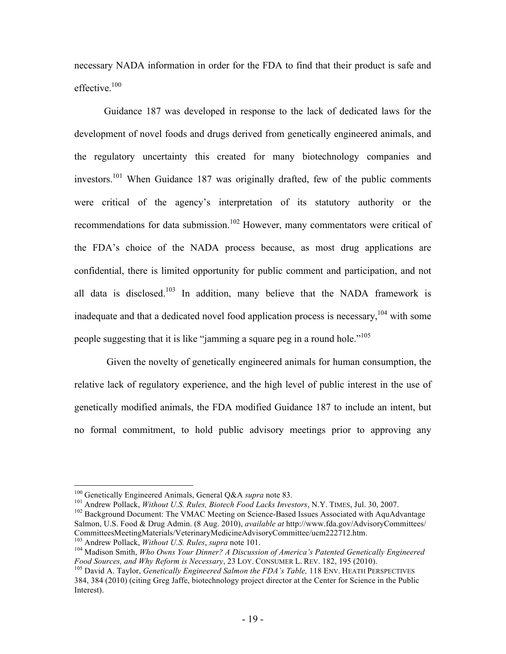necessary NADA information in order for the FDA to find that their product is safe and effective $100$ 

Guidance 187 was developed in response to the lack of dedicated laws for the development of novel foods and drugs derived from genetically engineered animals, and the regulatory uncertainty this created for many biotechnology companies and investors.101 When Guidance 187 was originally drafted, few of the public comments were critical of the agency's interpretation of its statutory authority or the recommendations for data submission.<sup>102</sup> However, many commentators were critical of the FDA's choice of the NADA process because, as most drug applications are confidential, there is limited opportunity for public comment and participation, and not all data is disclosed.<sup>103</sup> In addition, many believe that the NADA framework is inadequate and that a dedicated novel food application process is necessary,  $104$  with some people suggesting that it is like "jamming a square peg in a round hole."105

 Given the novelty of genetically engineered animals for human consumption, the relative lack of regulatory experience, and the high level of public interest in the use of genetically modified animals, the FDA modified Guidance 187 to include an intent, but no formal commitment, to hold public advisory meetings prior to approving any

<sup>&</sup>lt;sup>100</sup> Genetically Engineered Animals, General Q&A *supra* note 83.<br><sup>101</sup> Andrew Pollack, *Without U.S. Rules, Biotech Food Lacks Investors*, N.Y. TIMES, Jul. 30, 2007.<br><sup>102</sup> Background Document: The VMAC Meeting on Scienc Salmon, U.S. Food & Drug Admin. (8 Aug. 2010), *available at* http://www.fda.gov/AdvisoryCommittees/

<sup>&</sup>lt;sup>103</sup> Andrew Pollack, *Without U.S. Rules, supra* note 101.<br><sup>104</sup> Madison Smith, *Who Owns Your Dinner? A Discussion of America's Patented Genetically Engineered*<br>*Food Sources, and Why Reform is Necessary, 23 LOY. CONSUM* 

<sup>&</sup>lt;sup>105</sup> David A. Taylor, *Genetically Engineered Salmon the FDA's Table*, 118 ENV. HEATH PERSPECTIVES 384, 384 (2010) (citing Greg Jaffe, biotechnology project director at the Center for Science in the Public Interest).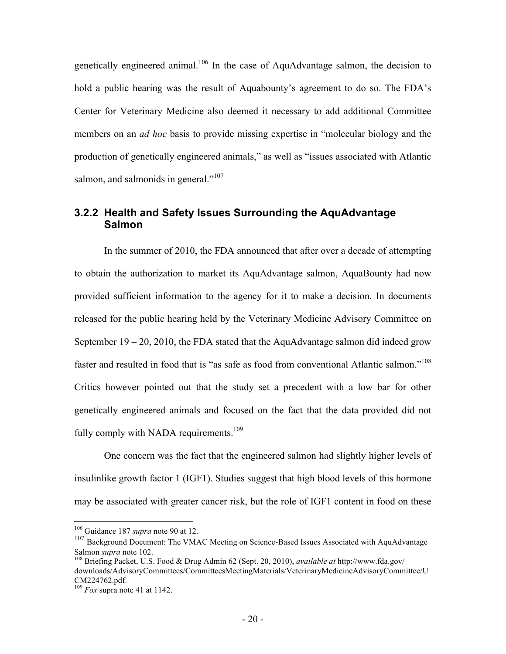genetically engineered animal.<sup>106</sup> In the case of AquAdvantage salmon, the decision to hold a public hearing was the result of Aquabounty's agreement to do so. The FDA's Center for Veterinary Medicine also deemed it necessary to add additional Committee members on an *ad hoc* basis to provide missing expertise in "molecular biology and the production of genetically engineered animals," as well as "issues associated with Atlantic salmon, and salmonids in general." $107$ 

#### **3.2.2 Health and Safety Issues Surrounding the AquAdvantage Salmon**

In the summer of 2010, the FDA announced that after over a decade of attempting to obtain the authorization to market its AquAdvantage salmon, AquaBounty had now provided sufficient information to the agency for it to make a decision. In documents released for the public hearing held by the Veterinary Medicine Advisory Committee on September  $19 - 20$ , 2010, the FDA stated that the AquAdvantage salmon did indeed grow faster and resulted in food that is "as safe as food from conventional Atlantic salmon."<sup>108</sup> Critics however pointed out that the study set a precedent with a low bar for other genetically engineered animals and focused on the fact that the data provided did not fully comply with NADA requirements.<sup>109</sup>

One concern was the fact that the engineered salmon had slightly higher levels of insulinlike growth factor 1 (IGF1). Studies suggest that high blood levels of this hormone may be associated with greater cancer risk, but the role of IGF1 content in food on these

 <sup>106</sup> Guidance 187 *supra* note 90 at 12.

<sup>&</sup>lt;sup>107</sup> Background Document: The VMAC Meeting on Science-Based Issues Associated with AquAdvantage Salmon *supra* note 102.<br><sup>108</sup> Briefing Packet, U.S. Food & Drug Admin 62 (Sept. 20, 2010), *available at* http://www.fda.gov/

downloads/AdvisoryCommittees/CommitteesMeetingMaterials/VeterinaryMedicineAdvisoryCommittee/U CM224762.pdf.

<sup>109</sup> *Fox* supra note 41 at 1142.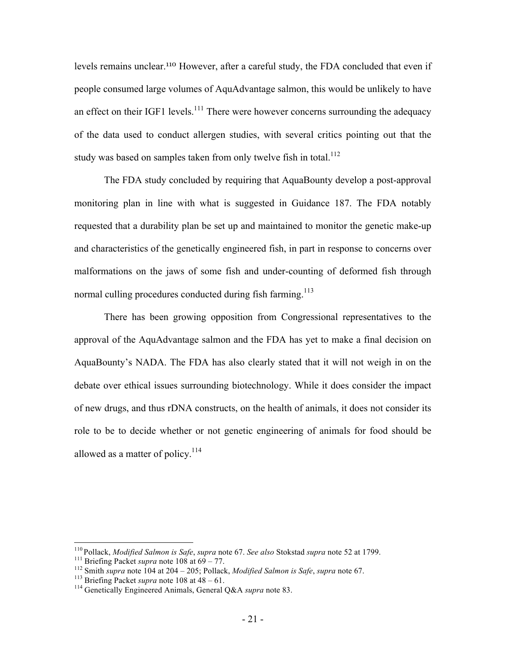levels remains unclear.110 However, after a careful study, the FDA concluded that even if people consumed large volumes of AquAdvantage salmon, this would be unlikely to have an effect on their IGF1 levels.<sup>111</sup> There were however concerns surrounding the adequacy of the data used to conduct allergen studies, with several critics pointing out that the study was based on samples taken from only twelve fish in total.<sup>112</sup>

The FDA study concluded by requiring that AquaBounty develop a post-approval monitoring plan in line with what is suggested in Guidance 187. The FDA notably requested that a durability plan be set up and maintained to monitor the genetic make-up and characteristics of the genetically engineered fish, in part in response to concerns over malformations on the jaws of some fish and under-counting of deformed fish through normal culling procedures conducted during fish farming.<sup>113</sup>

There has been growing opposition from Congressional representatives to the approval of the AquAdvantage salmon and the FDA has yet to make a final decision on AquaBounty's NADA. The FDA has also clearly stated that it will not weigh in on the debate over ethical issues surrounding biotechnology. While it does consider the impact of new drugs, and thus rDNA constructs, on the health of animals, it does not consider its role to be to decide whether or not genetic engineering of animals for food should be allowed as a matter of policy.<sup>114</sup>

<sup>&</sup>lt;sup>110</sup> Pollack, *Modified Salmon is Safe*, *supra* note 67. *See also* Stokstad *supra* note 52 at 1799.<br>
<sup>111</sup> Briefing Packet *supra* note 108 at 69 – 77.<br>
<sup>112</sup> Smith *supra* note 104 at 204 – 205; Pollack, *Modified Sa*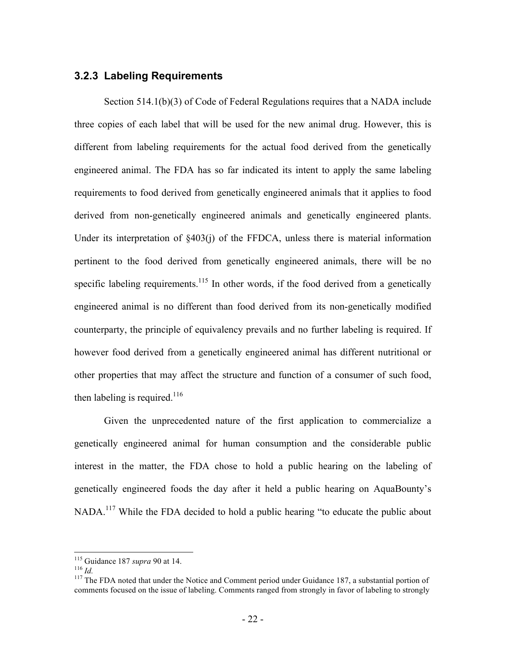#### **3.2.3 Labeling Requirements**

Section 514.1(b)(3) of Code of Federal Regulations requires that a NADA include three copies of each label that will be used for the new animal drug. However, this is different from labeling requirements for the actual food derived from the genetically engineered animal. The FDA has so far indicated its intent to apply the same labeling requirements to food derived from genetically engineered animals that it applies to food derived from non-genetically engineered animals and genetically engineered plants. Under its interpretation of  $\&403(i)$  of the FFDCA, unless there is material information pertinent to the food derived from genetically engineered animals, there will be no specific labeling requirements.<sup>115</sup> In other words, if the food derived from a genetically engineered animal is no different than food derived from its non-genetically modified counterparty, the principle of equivalency prevails and no further labeling is required. If however food derived from a genetically engineered animal has different nutritional or other properties that may affect the structure and function of a consumer of such food, then labeling is required.<sup>116</sup>

Given the unprecedented nature of the first application to commercialize a genetically engineered animal for human consumption and the considerable public interest in the matter, the FDA chose to hold a public hearing on the labeling of genetically engineered foods the day after it held a public hearing on AquaBounty's NADA.<sup>117</sup> While the FDA decided to hold a public hearing "to educate the public about

<sup>&</sup>lt;sup>115</sup> Guidance 187 *supra* 90 at 14.<br><sup>116</sup> *Id.* 116 *Id.* 116 **ID.** 116 **ID.** 117 The FDA noted that under the Notice and Comment period under Guidance 187, a substantial portion of comments focused on the issue of labeling. Comments ranged from strongly in favor of labeling to strongly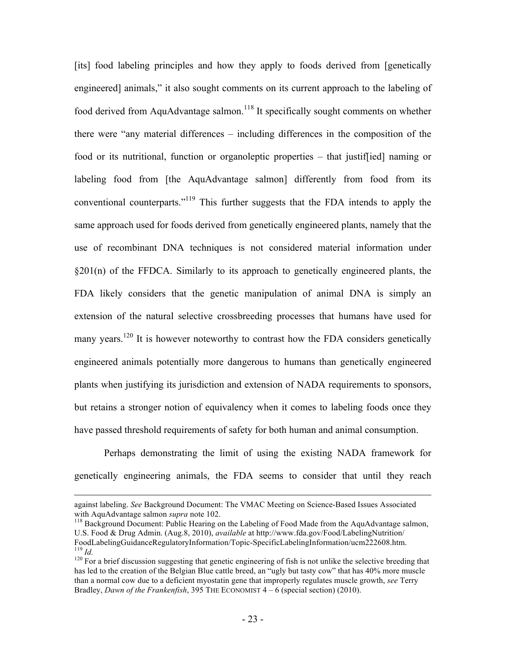[its] food labeling principles and how they apply to foods derived from [genetically engineered] animals," it also sought comments on its current approach to the labeling of food derived from AquAdvantage salmon.<sup>118</sup> It specifically sought comments on whether there were "any material differences – including differences in the composition of the food or its nutritional, function or organoleptic properties – that justiffied naming or labeling food from [the AquAdvantage salmon] differently from food from its conventional counterparts."<sup>119</sup> This further suggests that the FDA intends to apply the same approach used for foods derived from genetically engineered plants, namely that the use of recombinant DNA techniques is not considered material information under §201(n) of the FFDCA. Similarly to its approach to genetically engineered plants, the FDA likely considers that the genetic manipulation of animal DNA is simply an extension of the natural selective crossbreeding processes that humans have used for many years.<sup>120</sup> It is however noteworthy to contrast how the FDA considers genetically engineered animals potentially more dangerous to humans than genetically engineered plants when justifying its jurisdiction and extension of NADA requirements to sponsors, but retains a stronger notion of equivalency when it comes to labeling foods once they have passed threshold requirements of safety for both human and animal consumption.

Perhaps demonstrating the limit of using the existing NADA framework for genetically engineering animals, the FDA seems to consider that until they reach

against labeling. *See* Background Document: The VMAC Meeting on Science-Based Issues Associated with AquAdvantage salmon *supra* note 102.<br><sup>118</sup> Background Document: Public Hearing on the Labeling of Food Made from the AquAdvantage salmon,

U.S. Food & Drug Admin. (Aug.8, 2010), *available* at http://www.fda.gov/Food/LabelingNutrition/ FoodLabelingGuidanceRegulatoryInformation/Topic-SpecificLabelingInformation/ucm222608.htm.<br><sup>119</sup> *Id.* Tor a brief discussion suggesting that genetic engineering of fish is not unlike the selective breeding that <sup>120</sup> For

has led to the creation of the Belgian Blue cattle breed, an "ugly but tasty cow" that has 40% more muscle than a normal cow due to a deficient myostatin gene that improperly regulates muscle growth, *see* Terry Bradley, *Dawn of the Frankenfish*, 395 THE ECONOMIST 4 – 6 (special section) (2010).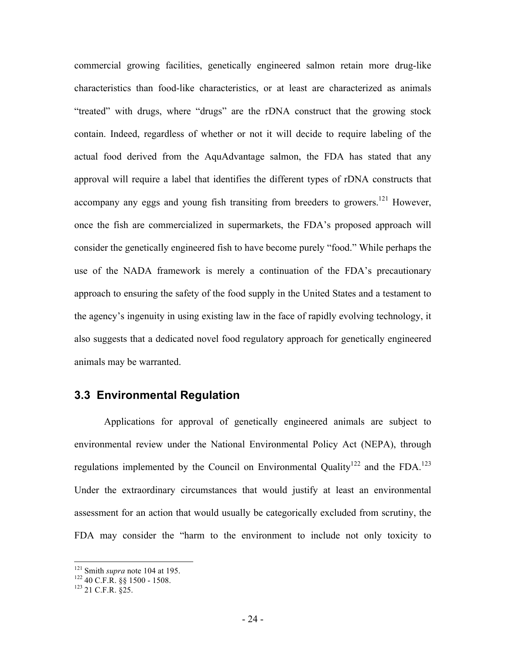commercial growing facilities, genetically engineered salmon retain more drug-like characteristics than food-like characteristics, or at least are characterized as animals "treated" with drugs, where "drugs" are the rDNA construct that the growing stock contain. Indeed, regardless of whether or not it will decide to require labeling of the actual food derived from the AquAdvantage salmon, the FDA has stated that any approval will require a label that identifies the different types of rDNA constructs that accompany any eggs and young fish transiting from breeders to growers.<sup>121</sup> However, once the fish are commercialized in supermarkets, the FDA's proposed approach will consider the genetically engineered fish to have become purely "food." While perhaps the use of the NADA framework is merely a continuation of the FDA's precautionary approach to ensuring the safety of the food supply in the United States and a testament to the agency's ingenuity in using existing law in the face of rapidly evolving technology, it also suggests that a dedicated novel food regulatory approach for genetically engineered animals may be warranted.

#### **3.3 Environmental Regulation**

Applications for approval of genetically engineered animals are subject to environmental review under the National Environmental Policy Act (NEPA), through regulations implemented by the Council on Environmental Quality<sup>122</sup> and the FDA.<sup>123</sup> Under the extraordinary circumstances that would justify at least an environmental assessment for an action that would usually be categorically excluded from scrutiny, the FDA may consider the "harm to the environment to include not only toxicity to

<sup>&</sup>lt;sup>121</sup> Smith *supra* note 104 at 195.<br><sup>122</sup> 40 C.F.R. §§ 1500 - 1508.<br><sup>123</sup> 21 C.F.R. §25.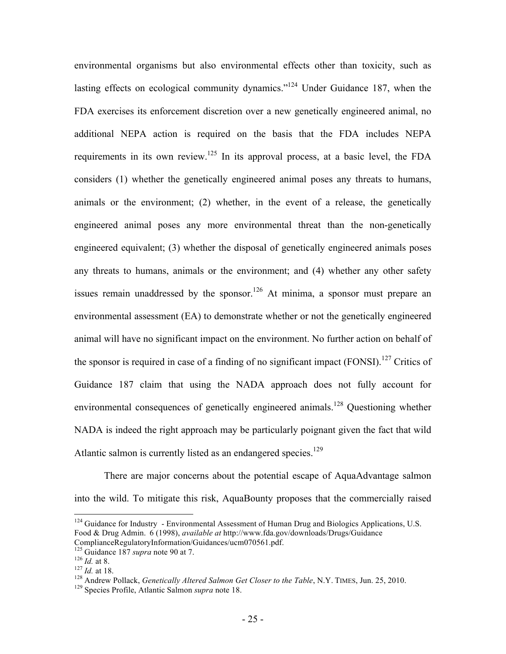environmental organisms but also environmental effects other than toxicity, such as lasting effects on ecological community dynamics."<sup>124</sup> Under Guidance 187, when the FDA exercises its enforcement discretion over a new genetically engineered animal, no additional NEPA action is required on the basis that the FDA includes NEPA requirements in its own review.125 In its approval process, at a basic level, the FDA considers (1) whether the genetically engineered animal poses any threats to humans, animals or the environment; (2) whether, in the event of a release, the genetically engineered animal poses any more environmental threat than the non-genetically engineered equivalent; (3) whether the disposal of genetically engineered animals poses any threats to humans, animals or the environment; and (4) whether any other safety issues remain unaddressed by the sponsor.<sup>126</sup> At minima, a sponsor must prepare an environmental assessment (EA) to demonstrate whether or not the genetically engineered animal will have no significant impact on the environment. No further action on behalf of the sponsor is required in case of a finding of no significant impact (FONSI).<sup>127</sup> Critics of Guidance 187 claim that using the NADA approach does not fully account for environmental consequences of genetically engineered animals.<sup>128</sup> Questioning whether NADA is indeed the right approach may be particularly poignant given the fact that wild Atlantic salmon is currently listed as an endangered species.<sup>129</sup>

There are major concerns about the potential escape of AquaAdvantage salmon into the wild. To mitigate this risk, AquaBounty proposes that the commercially raised

 $124$  Guidance for Industry - Environmental Assessment of Human Drug and Biologics Applications, U.S. Food & Drug Admin. 6 (1998), *available at* http://www.fda.gov/downloads/Drugs/Guidance

ComplianceRegulatoryInformation/Guidances/ucm070561.pdf.<br>
<sup>125</sup> Guidance 187 *supra* note 90 at 7.<br>
<sup>126</sup> *Id.* at 8.<br>
<sup>127</sup> *Id.* at 18.<br>
<sup>127</sup> Andrew Pollack, *Genetically Altered Salmon Get Closer to the Table*, N.Y. TI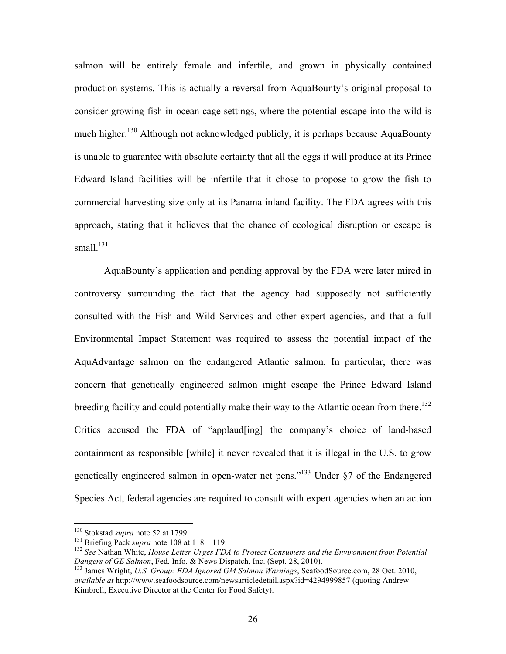salmon will be entirely female and infertile, and grown in physically contained production systems. This is actually a reversal from AquaBounty's original proposal to consider growing fish in ocean cage settings, where the potential escape into the wild is much higher.<sup>130</sup> Although not acknowledged publicly, it is perhaps because AquaBounty is unable to guarantee with absolute certainty that all the eggs it will produce at its Prince Edward Island facilities will be infertile that it chose to propose to grow the fish to commercial harvesting size only at its Panama inland facility. The FDA agrees with this approach, stating that it believes that the chance of ecological disruption or escape is small. $^{131}$ 

AquaBounty's application and pending approval by the FDA were later mired in controversy surrounding the fact that the agency had supposedly not sufficiently consulted with the Fish and Wild Services and other expert agencies, and that a full Environmental Impact Statement was required to assess the potential impact of the AquAdvantage salmon on the endangered Atlantic salmon. In particular, there was concern that genetically engineered salmon might escape the Prince Edward Island breeding facility and could potentially make their way to the Atlantic ocean from there.<sup>132</sup> Critics accused the FDA of "applaud[ing] the company's choice of land-based containment as responsible [while] it never revealed that it is illegal in the U.S. to grow genetically engineered salmon in open-water net pens."133 Under §7 of the Endangered Species Act, federal agencies are required to consult with expert agencies when an action

<sup>&</sup>lt;sup>130</sup> Stokstad *supra* note 52 at 1799.<br><sup>131</sup> Briefing Pack *supra* note 108 at 118 – 119.<br><sup>132</sup> *See* Nathan White, *House Letter Urges FDA to Protect Consumers and the Environment from Potential Dangers of GE Salmon, Fed* 

<sup>&</sup>lt;sup>133</sup> James Wright, *U.S. Group: FDA Ignored GM Salmon Warnings*, SeafoodSource.com, 28 Oct. 2010, *available at* http://www.seafoodsource.com/newsarticledetail.aspx?id=4294999857 (quoting Andrew Kimbrell, Executive Director at the Center for Food Safety).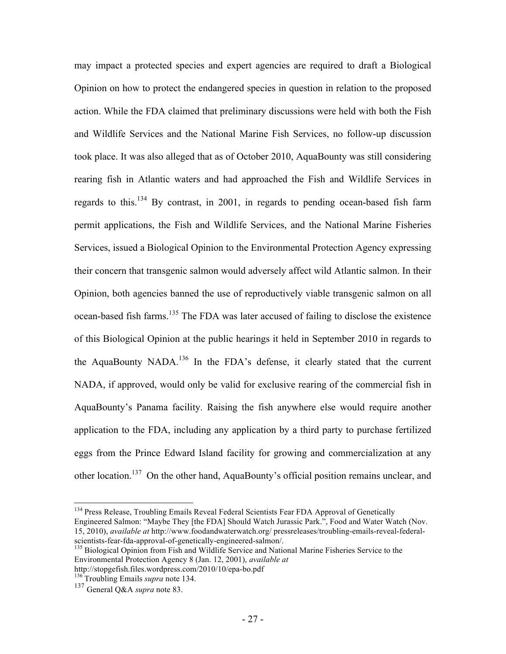may impact a protected species and expert agencies are required to draft a Biological Opinion on how to protect the endangered species in question in relation to the proposed action. While the FDA claimed that preliminary discussions were held with both the Fish and Wildlife Services and the National Marine Fish Services, no follow-up discussion took place. It was also alleged that as of October 2010, AquaBounty was still considering rearing fish in Atlantic waters and had approached the Fish and Wildlife Services in regards to this.<sup>134</sup> By contrast, in 2001, in regards to pending ocean-based fish farm permit applications, the Fish and Wildlife Services, and the National Marine Fisheries Services, issued a Biological Opinion to the Environmental Protection Agency expressing their concern that transgenic salmon would adversely affect wild Atlantic salmon. In their Opinion, both agencies banned the use of reproductively viable transgenic salmon on all ocean-based fish farms.<sup>135</sup> The FDA was later accused of failing to disclose the existence of this Biological Opinion at the public hearings it held in September 2010 in regards to the AquaBounty NADA.<sup>136</sup> In the FDA's defense, it clearly stated that the current NADA, if approved, would only be valid for exclusive rearing of the commercial fish in AquaBounty's Panama facility. Raising the fish anywhere else would require another application to the FDA, including any application by a third party to purchase fertilized eggs from the Prince Edward Island facility for growing and commercialization at any other location.137 On the other hand, AquaBounty's official position remains unclear, and

<sup>&</sup>lt;sup>134</sup> Press Release, Troubling Emails Reveal Federal Scientists Fear FDA Approval of Genetically Engineered Salmon: "Maybe They [the FDA] Should Watch Jurassic Park.", Food and Water Watch (Nov. 15, 2010), *available at* http://www.foodandwaterwatch.org/ pressreleases/troubling-emails-reveal-federal-

<sup>&</sup>lt;sup>135</sup> Biological Opinion from Fish and Wildlife Service and National Marine Fisheries Service to the Environmental Protection Agency 8 (Jan. 12, 2001), *available at*

http://stopgefish.files.wordpress.com/2010/10/epa-bo.pdf 136 Troubling Emails *supra* note 134.

<sup>137</sup> General Q&A *supra* note 83.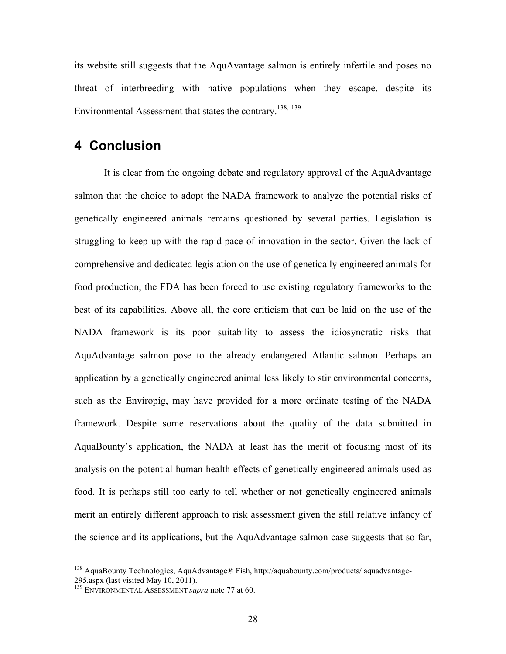its website still suggests that the AquAvantage salmon is entirely infertile and poses no threat of interbreeding with native populations when they escape, despite its Environmental Assessment that states the contrary.138, <sup>139</sup>

### **4 Conclusion**

It is clear from the ongoing debate and regulatory approval of the AquAdvantage salmon that the choice to adopt the NADA framework to analyze the potential risks of genetically engineered animals remains questioned by several parties. Legislation is struggling to keep up with the rapid pace of innovation in the sector. Given the lack of comprehensive and dedicated legislation on the use of genetically engineered animals for food production, the FDA has been forced to use existing regulatory frameworks to the best of its capabilities. Above all, the core criticism that can be laid on the use of the NADA framework is its poor suitability to assess the idiosyncratic risks that AquAdvantage salmon pose to the already endangered Atlantic salmon. Perhaps an application by a genetically engineered animal less likely to stir environmental concerns, such as the Enviropig, may have provided for a more ordinate testing of the NADA framework. Despite some reservations about the quality of the data submitted in AquaBounty's application, the NADA at least has the merit of focusing most of its analysis on the potential human health effects of genetically engineered animals used as food. It is perhaps still too early to tell whether or not genetically engineered animals merit an entirely different approach to risk assessment given the still relative infancy of the science and its applications, but the AquAdvantage salmon case suggests that so far,

 <sup>138</sup> AquaBounty Technologies, AquAdvantage® Fish, http://aquabounty.com/products/ aquadvantage-295.aspx (last visited May 10, 2011). <sup>139</sup> ENVIRONMENTAL ASSESSMENT *supra* note 77 at 60.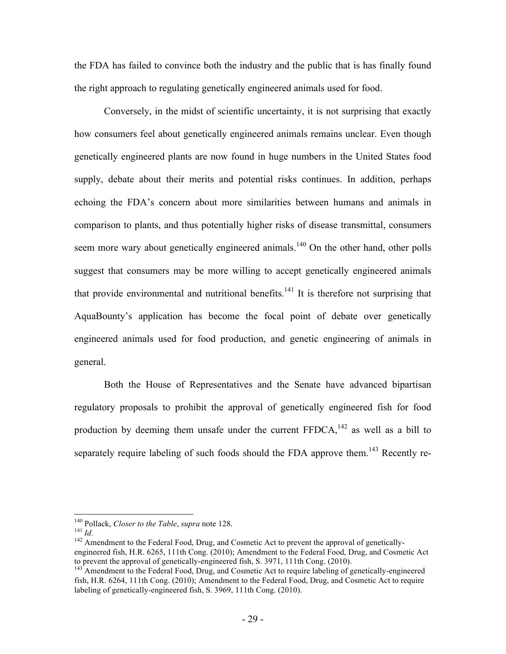the FDA has failed to convince both the industry and the public that is has finally found the right approach to regulating genetically engineered animals used for food.

Conversely, in the midst of scientific uncertainty, it is not surprising that exactly how consumers feel about genetically engineered animals remains unclear. Even though genetically engineered plants are now found in huge numbers in the United States food supply, debate about their merits and potential risks continues. In addition, perhaps echoing the FDA's concern about more similarities between humans and animals in comparison to plants, and thus potentially higher risks of disease transmittal, consumers seem more wary about genetically engineered animals.<sup>140</sup> On the other hand, other polls suggest that consumers may be more willing to accept genetically engineered animals that provide environmental and nutritional benefits.<sup>141</sup> It is therefore not surprising that AquaBounty's application has become the focal point of debate over genetically engineered animals used for food production, and genetic engineering of animals in general.

Both the House of Representatives and the Senate have advanced bipartisan regulatory proposals to prohibit the approval of genetically engineered fish for food production by deeming them unsafe under the current  $FFDCA$ ,<sup>142</sup> as well as a bill to separately require labeling of such foods should the FDA approve them.<sup>143</sup> Recently re-

<sup>&</sup>lt;sup>140</sup> Pollack, *Closer to the Table*, *supra* note 128.<br><sup>141</sup> *Id.* 142 Amendment to the Federal Food, Drug, and Cosmetic Act to prevent the approval of geneticallyengineered fish, H.R. 6265, 111th Cong. (2010); Amendment to the Federal Food, Drug, and Cosmetic Act to prevent the approval of genetically-engineered fish, S. 3971, 111th Cong. (2010).

 $t<sup>143</sup>$  Amendment to the Federal Food, Drug, and Cosmetic Act to require labeling of genetically-engineered fish, H.R. 6264, 111th Cong. (2010); Amendment to the Federal Food, Drug, and Cosmetic Act to require labeling of genetically-engineered fish, S. 3969, 111th Cong. (2010).